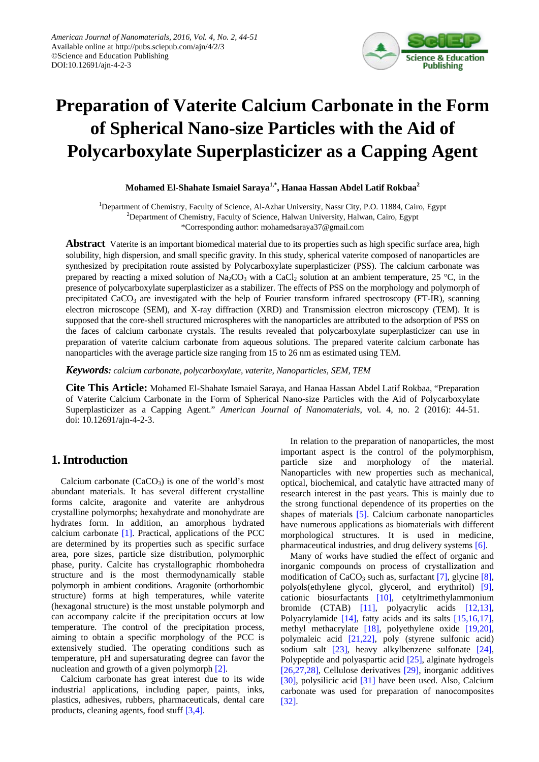

# **Preparation of Vaterite Calcium Carbonate in the Form of Spherical Nano-size Particles with the Aid of Polycarboxylate Superplasticizer as a Capping Agent**

**Mohamed El-Shahate Ismaiel Saraya1,\*, Hanaa Hassan Abdel Latif Rokbaa2**

<sup>1</sup>Department of Chemistry, Faculty of Science, Al-Azhar University, Nassr City, P.O. 11884, Cairo, Egypt <sup>2</sup>Department of Chemistry, Faculty of Science, Halwan University, Halwan, Cairo, Egypt \*Corresponding author: mohamedsaraya37@gmail.com

**Abstract** Vaterite is an important biomedical material due to its properties such as high specific surface area, high solubility, high dispersion, and small specific gravity. In this study, spherical vaterite composed of nanoparticles are synthesized by precipitation route assisted by Polycarboxylate superplasticizer (PSS). The calcium carbonate was prepared by reacting a mixed solution of  $Na_2CO_3$  with a CaCl<sub>2</sub> solution at an ambient temperature, 25 °C, in the presence of polycarboxylate superplasticizer as a stabilizer. The effects of PSS on the morphology and polymorph of precipitated  $CaCO<sub>3</sub>$  are investigated with the help of Fourier transform infrared spectroscopy (FT-IR), scanning electron microscope (SEM), and X-ray diffraction (XRD) and Transmission electron microscopy (TEM). It is supposed that the core-shell structured microspheres with the nanoparticles are attributed to the adsorption of PSS on the faces of calcium carbonate crystals. The results revealed that polycarboxylate superplasticizer can use in preparation of vaterite calcium carbonate from aqueous solutions. The prepared vaterite calcium carbonate has nanoparticles with the average particle size ranging from 15 to 26 nm as estimated using TEM.

*Keywords: calcium carbonate, polycarboxylate, vaterite, Nanoparticles, SEM, TEM*

**Cite This Article:** Mohamed El-Shahate Ismaiel Saraya, and Hanaa Hassan Abdel Latif Rokbaa, "Preparation of Vaterite Calcium Carbonate in the Form of Spherical Nano-size Particles with the Aid of Polycarboxylate Superplasticizer as a Capping Agent." *American Journal of Nanomaterials*, vol. 4, no. 2 (2016): 44-51. doi: 10.12691/ajn-4-2-3.

# **1. Introduction**

Calcium carbonate  $(CaCO<sub>3</sub>)$  is one of the world's most abundant materials. It has several different crystalline forms calcite, aragonite and vaterite are anhydrous crystalline polymorphs; hexahydrate and monohydrate are hydrates form. In addition, an amorphous hydrated calcium carbonate [\[1\].](#page-6-0) Practical, applications of the PCC are determined by its properties such as specific surface area, pore sizes, particle size distribution, polymorphic phase, purity. Calcite has crystallographic rhombohedra structure and is the most thermodynamically stable polymorph in ambient conditions. Aragonite (orthorhombic structure) forms at high temperatures, while vaterite (hexagonal structure) is the most unstable polymorph and can accompany calcite if the precipitation occurs at low temperature. The control of the precipitation process, aiming to obtain a specific morphology of the PCC is extensively studied. The operating conditions such as temperature, pH and supersaturating degree can favor the nucleation and growth of a given polymorph [\[2\].](#page-6-1)

Calcium carbonate has great interest due to its wide industrial applications, including paper, paints, inks, plastics, adhesives, rubbers, pharmaceuticals, dental care products, cleaning agents, food stuf[f \[3,4\].](#page-6-2)

In relation to the preparation of nanoparticles, the most important aspect is the control of the polymorphism, particle size and morphology of the material. Nanoparticles with new properties such as mechanical, optical, biochemical, and catalytic have attracted many of research interest in the past years. This is mainly due to the strong functional dependence of its properties on the shapes of materials [\[5\].](#page-6-3) Calcium carbonate nanoparticles have numerous applications as biomaterials with different morphological structures. It is used in medicine, pharmaceutical industries, and drug delivery systems [\[6\].](#page-6-4)

Many of works have studied the effect of organic and inorganic compounds on process of crystallization and modification of  $CaCO<sub>3</sub>$  such as, surfactant [\[7\],](#page-6-5) glycine [\[8\],](#page-6-6) polyols(ethylene glycol, glycerol, and erythritol) [\[9\],](#page-6-7) cationic biosurfactants [\[10\],](#page-6-8) cetyltrimethylammonium bromide (CTAB) [\[11\],](#page-6-9) polyacrylic acids [\[12,13\],](#page-6-10) Polyacrylamide [\[14\],](#page-6-11) fatty acids and its salts [\[15,16,17\],](#page-6-12) methyl methacrylate [\[18\],](#page-6-13) polyethylene oxide [\[19,20\],](#page-6-14) polymaleic acid [\[21,22\],](#page-6-15) poly (styrene sulfonic acid) sodium salt [\[23\],](#page-6-16) heavy alkylbenzene sulfonate [\[24\],](#page-6-17) Polypeptide and polyaspartic acid [\[25\],](#page-6-18) alginate hydrogels [\[26,27,28\],](#page-6-19) Cellulose derivatives [\[29\],](#page-6-20) inorganic additives [\[30\],](#page-6-21) polysilicic acid [\[31\]](#page-6-22) have been used. Also, Calcium carbonate was used for preparation of nanocomposites [\[32\].](#page-6-23)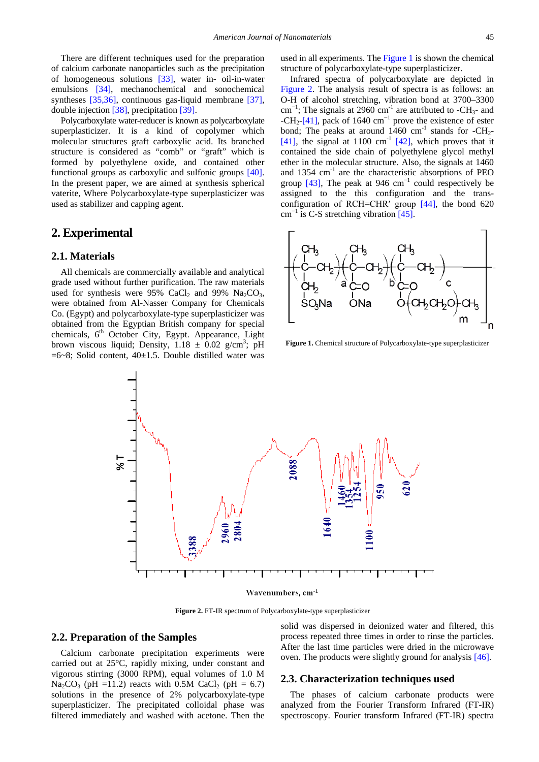There are different techniques used for the preparation of calcium carbonate nanoparticles such as the precipitation of homogeneous solutions [\[33\],](#page-6-24) water in- oil-in-water emulsions [\[34\],](#page-6-25) mechanochemical and sonochemical syntheses [\[35,36\],](#page-6-26) continuous gas-liquid membrane [\[37\],](#page-6-27) double injection [\[38\],](#page-6-28) precipitatio[n \[39\].](#page-6-29)

Polycarboxylate water-reducer is known as polycarboxylate superplasticizer. It is a kind of copolymer which molecular structures graft carboxylic acid. Its branched structure is considered as "comb" or "graft" which is formed by polyethylene oxide, and contained other functional groups as carboxylic and sulfonic groups [\[40\].](#page-6-30) In the present paper, we are aimed at synthesis spherical vaterite, Where Polycarboxylate-type superplasticizer was used as stabilizer and capping agent.

## **2. Experimental**

#### **2.1. Materials**

All chemicals are commercially available and analytical grade used without further purification. The raw materials used for synthesis were 95% CaCl<sub>2</sub> and 99% Na<sub>2</sub>CO<sub>3</sub>, were obtained from Al-Nasser Company for Chemicals Co. (Egypt) and polycarboxylate-type superplasticizer was obtained from the Egyptian British company for special chemicals,  $6<sup>th</sup>$  October City, Egypt. Appearance, Light brown viscous liquid; Density,  $1.18 \pm 0.02$  g/cm<sup>3</sup>; pH  $=6~8$ ; Solid content,  $40~\pm 1.5$ . Double distilled water was

used in all experiments. The [Figure 1](#page-1-0) is shown the chemical structure of polycarboxylate-type superplasticizer.

Infrared spectra of polycarboxylate are depicted in [Figure 2.](#page-1-1) The analysis result of spectra is as follows: an O-H of alcohol stretching, vibration bond at 3700–3300 cm<sup>-1</sup>; The signals at 2960 cm<sup>-1</sup> are attributed to -CH<sub>3</sub>- and  $-CH_2$ [-\[41\],](#page-6-31) pack of 1640 cm<sup>-1</sup> prove the existence of ester bond; The peaks at around  $1460 \text{ cm}^{-1}$  stands for -CH<sub>2</sub>-[\[41\],](#page-6-31) the signal at 1100  $cm^{-1}$  [\[42\],](#page-7-0) which proves that it contained the side chain of polyethylene glycol methyl ether in the molecular structure. Also, the signals at 1460 and 1354 cm<sup>-1</sup> are the characteristic absorptions of PEO group  $[43]$ , The peak at 946 cm<sup>-1</sup> could respectively be assigned to the this configuration and the transconfiguration of RCH=CHR′ group [\[44\],](#page-7-2) the bond 620  $cm^{-1}$  is C-S stretching vibration [\[45\].](#page-7-3)

<span id="page-1-0"></span>

**Figure 1.** Chemical structure of Polycarboxylate-type superplasticizer

<span id="page-1-1"></span>

**Figure 2.** FT-IR spectrum of Polycarboxylate-type superplasticizer

## **2.2. Preparation of the Samples**

Calcium carbonate precipitation experiments were carried out at 25°C, rapidly mixing, under constant and vigorous stirring (3000 RPM), equal volumes of 1.0 M  $Na_2CO_3$  (pH =11.2) reacts with 0.5M CaCl<sub>2</sub> (pH = 6.7) solutions in the presence of 2% polycarboxylate-type superplasticizer. The precipitated colloidal phase was filtered immediately and washed with acetone. Then the solid was dispersed in deionized water and filtered, this process repeated three times in order to rinse the particles. After the last time particles were dried in the microwave oven. The products were slightly ground for analysis [\[46\].](#page-7-4)

#### **2.3. Characterization techniques used**

The phases of calcium carbonate products were analyzed from the Fourier Transform Infrared (FT-IR) spectroscopy. Fourier transform Infrared (FT-IR) spectra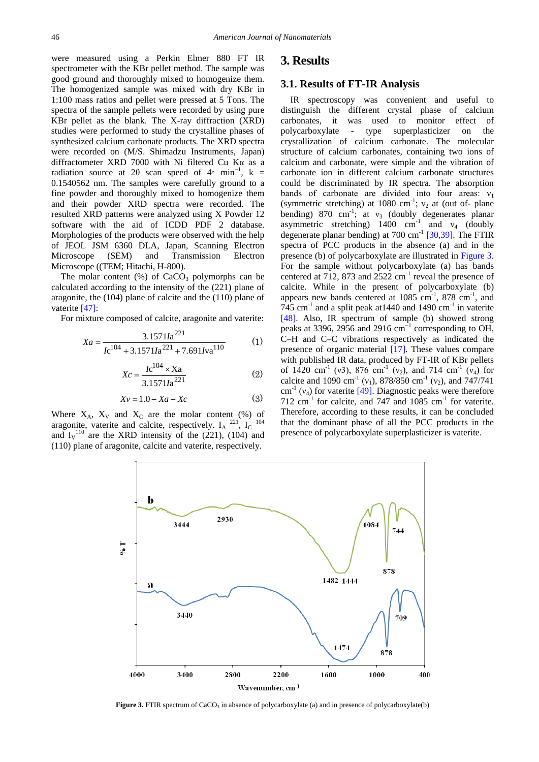were measured using a Perkin Elmer 880 FT IR spectrometer with the KBr pellet method. The sample was good ground and thoroughly mixed to homogenize them. The homogenized sample was mixed with dry KBr in 1:100 mass ratios and pellet were pressed at 5 Tons. The spectra of the sample pellets were recorded by using pure KBr pellet as the blank. The X-ray diffraction (XRD) studies were performed to study the crystalline phases of synthesized calcium carbonate products. The XRD spectra were recorded on (M/S. Shimadzu Instruments, Japan) diffractometer XRD 7000 with Ni filtered Cu Kα as a radiation source at 2 $\theta$  scan speed of 4∘ min<sup>-1</sup>, k = 0.1540562 nm. The samples were carefully ground to a fine powder and thoroughly mixed to homogenize them and their powder XRD spectra were recorded. The resulted XRD patterns were analyzed using X Powder 12 software with the aid of ICDD PDF 2 database. Morphologies of the products were observed with the help of JEOL JSM 6360 DLA, Japan, Scanning Electron Microscope (SEM) and Transmission Electron Microscope ((TEM; Hitachi, H-800).

The molar content  $%$ ) of CaCO<sub>3</sub> polymorphs can be calculated according to the intensity of the (221) plane of aragonite, the (104) plane of calcite and the (110) plane of vaterite [\[47\]:](#page-7-5)

For mixture composed of calcite, aragonite and vaterite:

$$
Xa = \frac{3.1571Ia^{221}}{Ic^{104} + 3.1571Ia^{221} + 7.691Iva^{110}}
$$
 (1)

$$
Xc = \frac{Ic^{104} \times Xa}{3.1571Ia^{221}}
$$
 (2)

$$
Xv = 1.0 - Xa - Xc \tag{3}
$$

<span id="page-2-0"></span>Where  $X_A$ ,  $X_V$  and  $X_C$  are the molar content (%) of aragonite, vaterite and calcite, respectively.  $I_A$ <sup>221</sup>,  $I_C$ <sup>104</sup> and  $I_V$ <sup>110</sup> are the XRD intensity of the (221), (104) and (110) plane of aragonite, calcite and vaterite, respectively.

## **3. Results**

#### **3.1. Results of FT-IR Analysis**

IR spectroscopy was convenient and useful to distinguish the different crystal phase of calcium carbonates, it was used to monitor effect of polycarboxylate - type superplasticizer on the crystallization of calcium carbonate. The molecular structure of calcium carbonates, containing two ions of calcium and carbonate, were simple and the vibration of carbonate ion in different calcium carbonate structures could be discriminated by IR spectra. The absorption bands of carbonate are divided into four areas:  $v_1$ (symmetric stretching) at 1080 cm<sup>-1</sup>;  $v_2$  at (out of- plane bending) 870 cm<sup>-1</sup>; at  $v_3$  (doubly degenerates planar asymmetric stretching) 1400 cm<sup>-1</sup> and  $v_4$  (doubly degenerate planar bending) at  $700 \text{ cm}^{-1}$  [\[30,39\].](#page-6-21) The FTIR spectra of PCC products in the absence (a) and in the presence (b) of polycarboxylate are illustrated in [Figure 3.](#page-2-0) For the sample without polycarboxylate (a) has bands centered at 712, 873 and  $2522 \text{ cm}^{-1}$  reveal the presence of calcite. While in the present of polycarboxylate (b) appears new bands centered at  $1085 \text{ cm}^{-1}$ ,  $878 \text{ cm}^{-1}$ , and 745 cm<sup>-1</sup> and a split peak at 1440 and 1490 cm<sup>-1</sup> in vaterite [\[48\].](#page-7-6) Also, IR spectrum of sample (b) showed strong peaks at 3396, 2956 and 2916 cm<sup>-1</sup> corresponding to OH, C–H and C–C vibrations respectively as indicated the presence of organic material [\[17\].](#page-6-32) These values compare with published IR data, produced by FT-IR of KBr pellets of 1420 cm<sup>-1</sup> (v3), 876 cm<sup>-1</sup> (v<sub>2</sub>), and 714 cm<sup>-1</sup> (v<sub>4</sub>) for calcite and 1090 cm<sup>-1</sup> (v<sub>1</sub>), 878/850 cm<sup>-1</sup> (v<sub>2</sub>), and 747/741 cm<sup>-1</sup> ( $v_4$ ) for vaterite [\[49\].](#page-7-7) Diagnostic peaks were therefore 712  $\text{cm}^{-1}$  for calcite, and 747 and 1085  $\text{cm}^{-1}$  for vaterite. Therefore, according to these results, it can be concluded that the dominant phase of all the PCC products in the presence of polycarboxylate superplasticizer is vaterite.



**Figure 3.** FTIR spectrum of CaCO<sub>3</sub> in absence of polycarboxylate (a) and in presence of polycarboxylate(b)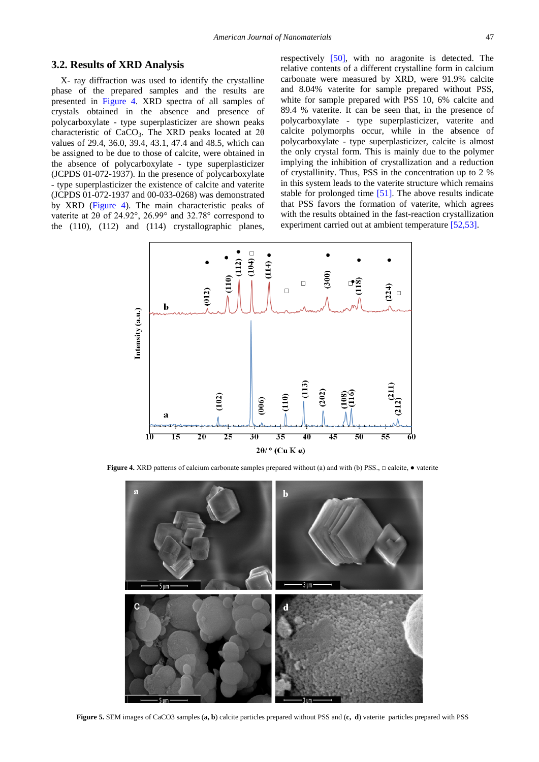#### **3.2. Results of XRD Analysis**

X- ray diffraction was used to identify the crystalline phase of the prepared samples and the results are presented in [Figure 4.](#page-3-0) XRD spectra of all samples of crystals obtained in the absence and presence of polycarboxylate - type superplasticizer are shown peaks characteristic of CaCO<sub>3</sub>. The XRD peaks located at  $2\theta$ values of 29.4, 36.0, 39.4, 43.1, 47.4 and 48.5, which can be assigned to be due to those of calcite, were obtained in the absence of polycarboxylate - type superplasticizer (JCPDS 01-072-1937). In the presence of polycarboxylate - type superplasticizer the existence of calcite and vaterite (JCPDS 01-072-1937 and 00-033-0268) was demonstrated by XRD [\(Figure 4\)](#page-3-0). The main characteristic peaks of vaterite at 2θ of 24.92°, 26.99° and 32.78° correspond to the (110), (112) and (114) crystallographic planes,

respectively [\[50\],](#page-7-8) with no aragonite is detected. The relative contents of a different crystalline form in calcium carbonate were measured by XRD, were 91.9% calcite and 8.04% vaterite for sample prepared without PSS, white for sample prepared with PSS 10, 6% calcite and 89.4 % vaterite. It can be seen that, in the presence of polycarboxylate - type superplasticizer, vaterite and calcite polymorphs occur, while in the absence of polycarboxylate - type superplasticizer, calcite is almost the only crystal form. This is mainly due to the polymer implying the inhibition of crystallization and a reduction of crystallinity. Thus, PSS in the concentration up to 2 % in this system leads to the vaterite structure which remains stable for prolonged time [\[51\].](#page-7-9) The above results indicate that PSS favors the formation of vaterite, which agrees with the results obtained in the fast-reaction crystallization experiment carried out at ambient temperature [\[52,53\].](#page-7-10)

<span id="page-3-0"></span>

<span id="page-3-1"></span>**Figure 4.** XRD patterns of calcium carbonate samples prepared without (a) and with (b) PSS., □ calcite, ● vaterite



**Figure 5.** SEM images of CaCO3 samples (**a, b**) calcite particles prepared without PSS and (**c, d**) vaterite particles prepared with PSS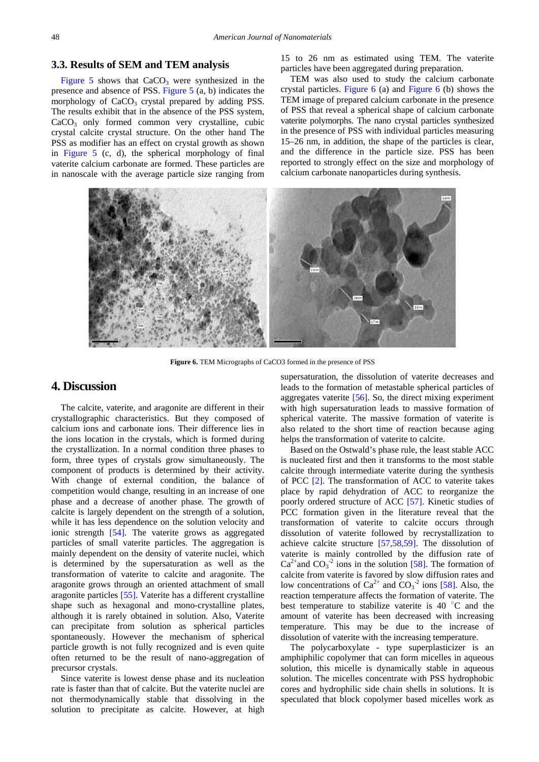#### **3.3. Results of SEM and TEM analysis**

[Figure 5](#page-3-1) shows that  $CaCO<sub>3</sub>$  were synthesized in the presence and absence of PSS. [Figure 5](#page-3-1) (a, b) indicates the morphology of  $CaCO<sub>3</sub>$  crystal prepared by adding PSS. The results exhibit that in the absence of the PSS system, CaCO<sub>3</sub> only formed common very crystalline, cubic crystal calcite crystal structure. On the other hand The PSS as modifier has an effect on crystal growth as shown in [Figure 5](#page-3-1) (c, d), the spherical morphology of final vaterite calcium carbonate are formed. These particles are in nanoscale with the average particle size ranging from 15 to 26 nm as estimated using TEM. The vaterite particles have been aggregated during preparation.

TEM was also used to study the calcium carbonate crystal particles. [Figure 6](#page-4-0) (a) and [Figure 6](#page-4-0) (b) shows the TEM image of prepared calcium carbonate in the presence of PSS that reveal a spherical shape of calcium carbonate vaterite polymorphs. The nano crystal particles synthesized in the presence of PSS with individual particles measuring 15–26 nm, in addition, the shape of the particles is clear, and the difference in the particle size. PSS has been reported to strongly effect on the size and morphology of calcium carbonate nanoparticles during synthesis.

<span id="page-4-0"></span>

**Figure 6.** TEM Micrographs of CaCO3 formed in the presence of PSS

## **4. Discussion**

The calcite, vaterite, and aragonite are different in their crystallographic characteristics. But they composed of calcium ions and carbonate ions. Their difference lies in the ions location in the crystals, which is formed during the crystallization. In a normal condition three phases to form, three types of crystals grow simultaneously. The component of products is determined by their activity. With change of external condition, the balance of competition would change, resulting in an increase of one phase and a decrease of another phase. The growth of calcite is largely dependent on the strength of a solution, while it has less dependence on the solution velocity and ionic strength [\[54\].](#page-7-11) The vaterite grows as aggregated particles of small vaterite particles. The aggregation is mainly dependent on the density of vaterite nuclei, which is determined by the supersaturation as well as the transformation of vaterite to calcite and aragonite. The aragonite grows through an oriented attachment of small aragonite particles [\[55\].](#page-7-12) Vaterite has a different crystalline shape such as hexagonal and mono-crystalline plates, although it is rarely obtained in solution. Also, Vaterite can precipitate from solution as spherical particles spontaneously. However the mechanism of spherical particle growth is not fully recognized and is even quite often returned to be the result of nano-aggregation of precursor crystals.

Since vaterite is lowest dense phase and its nucleation rate is faster than that of calcite. But the vaterite nuclei are not thermodynamically stable that dissolving in the solution to precipitate as calcite. However, at high

supersaturation, the dissolution of vaterite decreases and leads to the formation of metastable spherical particles of aggregates vaterite [\[56\].](#page-7-13) So, the direct mixing experiment with high supersaturation leads to massive formation of spherical vaterite. The massive formation of vaterite is also related to the short time of reaction because aging helps the transformation of vaterite to calcite.

Based on the Ostwald's phase rule, the least stable ACC is nucleated first and then it transforms to the most stable calcite through intermediate vaterite during the synthesis of PCC [\[2\].](#page-6-1) The transformation of ACC to vaterite takes place by rapid dehydration of ACC to reorganize the poorly ordered structure of ACC [\[57\].](#page-7-14) Kinetic studies of PCC formation given in the literature reveal that the transformation of vaterite to calcite occurs through dissolution of vaterite followed by recrystallization to achieve calcite structure [\[57,58,59\].](#page-7-14) The dissolution of vaterite is mainly controlled by the diffusion rate of  $Ca^{2+}$  and  $CO_3^{-2}$  ions in the solution [\[58\].](#page-7-15) The formation of calcite from vaterite is favored by slow diffusion rates and low concentrations of  $Ca^{2+}$  and  $CO_3^{-2}$  ions [\[58\].](#page-7-15) Also, the reaction temperature affects the formation of vaterite. The best temperature to stabilize vaterite is 40 $\degree$ C and the amount of vaterite has been decreased with increasing temperature. This may be due to the increase of dissolution of vaterite with the increasing temperature.

The polycarboxylate - type superplasticizer is an amphiphilic copolymer that can form micelles in aqueous solution, this micelle is dynamically stable in aqueous solution. The micelles concentrate with PSS hydrophobic cores and hydrophilic side chain shells in solutions. It is speculated that block copolymer based micelles work as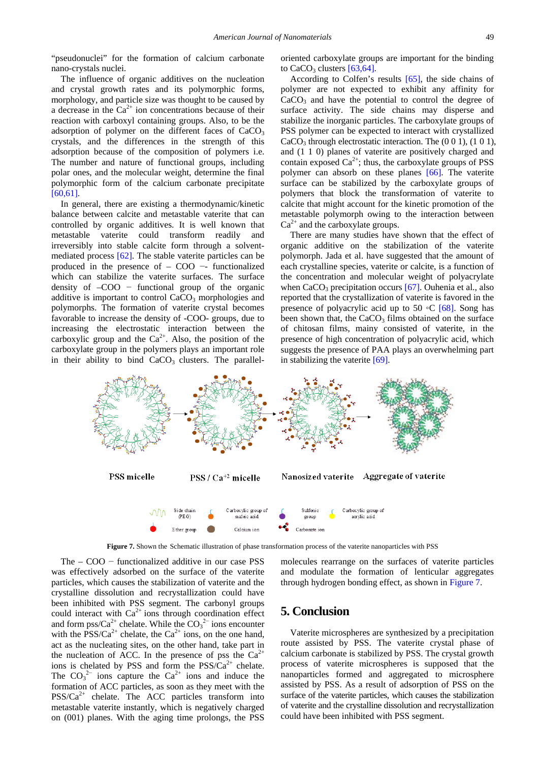"pseudonuclei" for the formation of calcium carbonate nano-crystals nuclei.

The influence of organic additives on the nucleation and crystal growth rates and its polymorphic forms, morphology, and particle size was thought to be caused by a decrease in the  $Ca^{2+}$  ion concentrations because of their reaction with carboxyl containing groups. Also, to be the adsorption of polymer on the different faces of  $CaCO<sub>3</sub>$ crystals, and the differences in the strength of this adsorption because of the composition of polymers i.e. The number and nature of functional groups, including polar ones, and the molecular weight, determine the final polymorphic form of the calcium carbonate precipitate [\[60,61\].](#page-7-16)

In general, there are existing a thermodynamic/kinetic balance between calcite and metastable vaterite that can controlled by organic additives. It is well known that metastable vaterite could transform readily and irreversibly into stable calcite form through a solventmediated process [\[62\].](#page-7-17) The stable vaterite particles can be produced in the presence of – COO −- functionalized which can stabilize the vaterite surfaces. The surface density of –COO − functional group of the organic additive is important to control  $CaCO<sub>3</sub>$  morphologies and polymorphs. The formation of vaterite crystal becomes favorable to increase the density of -COO- groups, due to increasing the electrostatic interaction between the carboxylic group and the  $Ca^{2+}$ . Also, the position of the carboxylate group in the polymers plays an important role in their ability to bind  $CaCO<sub>3</sub>$  clusters. The paralleloriented carboxylate groups are important for the binding to  $CaCO<sub>3</sub>$  clusters  $[63,64]$ .

According to Colfen's results [\[65\],](#page-7-19) the side chains of polymer are not expected to exhibit any affinity for  $CaCO<sub>3</sub>$  and have the potential to control the degree of surface activity. The side chains may disperse and stabilize the inorganic particles. The carboxylate groups of PSS polymer can be expected to interact with crystallized CaCO<sub>3</sub> through electrostatic interaction. The  $(0\ 0\ 1)$ ,  $(1\ 0\ 1)$ , and (1 1 0) planes of vaterite are positively charged and contain exposed  $Ca^{2+}$ ; thus, the carboxylate groups of PSS polymer can absorb on these planes [\[66\].](#page-7-20) The vaterite surface can be stabilized by the carboxylate groups of polymers that block the transformation of vaterite to calcite that might account for the kinetic promotion of the metastable polymorph owing to the interaction between  $Ca<sup>2+</sup>$  and the carboxylate groups.

There are many studies have shown that the effect of organic additive on the stabilization of the vaterite polymorph. Jada et al. have suggested that the amount of each crystalline species, vaterite or calcite, is a function of the concentration and molecular weight of polyacrylate when  $CaCO<sub>3</sub>$  precipitation occurs [\[67\].](#page-7-21) Ouhenia et al., also reported that the crystallization of vaterite is favored in the presence of polyacrylic acid up to 50 ◦C [\[68\].](#page-7-22) Song has been shown that, the  $CaCO<sub>3</sub>$  films obtained on the surface of chitosan films, mainy consisted of vaterite, in the presence of high concentration of polyacrylic acid, which suggests the presence of PAA plays an overwhelming part in stabilizing the vaterite [\[69\].](#page-7-23)

<span id="page-5-0"></span>

**Figure 7.** Shown the Schematic illustration of phase transformation process of the vaterite nanoparticles with PSS

The – COO − functionalized additive in our case PSS was effectively adsorbed on the surface of the vaterite particles, which causes the stabilization of vaterite and the crystalline dissolution and recrystallization could have been inhibited with PSS segment. The carbonyl groups could interact with  $Ca^{2+}$  ions through coordination effect and form pss/Ca<sup>2+</sup> chelate. While the  $CO_3^2$ <sup>-</sup> ions encounter with the  $\text{PSS}/\text{Ca}^{2+}$  chelate, the  $\text{Ca}^{2+}$  ions, on the one hand, act as the nucleating sites, on the other hand, take part in the nucleation of ACC. In the presence of pss the  $Ca^{2+}$ ions is chelated by PSS and form the  $PSS/Ca^{2+}$  chelate. The  $CO_3^2$  ions capture the  $Ca^{2+}$  ions and induce the formation of ACC particles, as soon as they meet with the  $PSS/Ca^{2+}$  chelate. The ACC particles transform into metastable vaterite instantly, which is negatively charged on (001) planes. With the aging time prolongs, the PSS

molecules rearrange on the surfaces of vaterite particles and modulate the formation of lenticular aggregates through hydrogen bonding effect, as shown in [Figure 7.](#page-5-0)

# **5. Conclusion**

Vaterite microspheres are synthesized by a precipitation route assisted by PSS. The vaterite crystal phase of calcium carbonate is stabilized by PSS. The crystal growth process of vaterite microspheres is supposed that the nanoparticles formed and aggregated to microsphere assisted by PSS. As a result of adsorption of PSS on the surface of the vaterite particles, which causes the stabilization of vaterite and the crystalline dissolution and recrystallization could have been inhibited with PSS segment.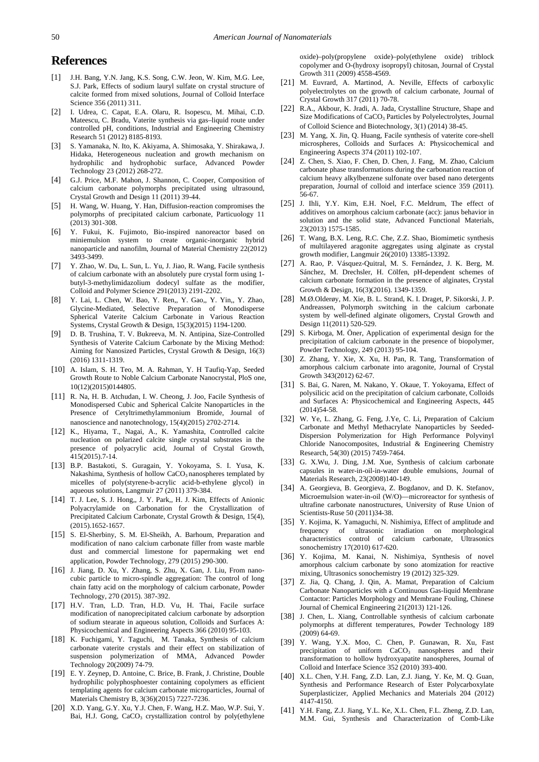## **References**

- <span id="page-6-0"></span>[1] J.H. Bang, Y.N. Jang, K.S. Song, C.W. Jeon, W. Kim, M.G. Lee, S.J. Park, Effects of sodium lauryl sulfate on crystal structure of calcite formed from mixed solutions, Journal of Colloid Interface Science 356 (2011) 311.
- <span id="page-6-1"></span>[2] I. Udrea, C. Capat, E.A. Olaru, R. Isopescu, M. Mihai, C.D. Mateescu, C. Bradu, Vaterite synthesis via gas–liquid route under controlled pH, conditions, Industrial and Engineering Chemistry Research 51 (2012) 8185-8193.
- <span id="page-6-2"></span>[3] S. Yamanaka, N. Ito, K. Akiyama, A. Shimosaka, Y. Shirakawa, J. Hidaka, Heterogeneous nucleation and growth mechanism on hydrophilic and hydrophobic surface, Advanced Powder Technology 23 (2012) 268-272.
- [4] G.J. Price, M.F. Mahon, J. Shannon, C. Cooper, Composition of calcium carbonate polymorphs precipitated using ultrasound, Crystal Growth and Design 11 (2011) 39-44.
- <span id="page-6-3"></span>[5] H. Wang, W. Huang, Y. Han, Diffusion-reaction compromises the polymorphs of precipitated calcium carbonate, Particuology 11 (2013) 301-308.
- <span id="page-6-4"></span>[6] Y. Fukui, K. Fujimoto, Bio-inspired nanoreactor based on miniemulsion system to create organic-inorganic hybrid nanoparticle and nanofilm, Journal of Material Chemistry 22(2012) 3493-3499.
- <span id="page-6-5"></span>[7] Y. Zhao, W. Du, L. Sun, L. Yu, J. Jiao, R. Wang, Facile synthesis of calcium carbonate with an absolutely pure crystal form using 1 butyl-3-methylimidazolium dodecyl sulfate as the modifier, Colloid and Polymer Science 291(2013) 2191-2202.
- <span id="page-6-6"></span>[8] Y. Lai, L. Chen, W. Bao, Y. Ren,, Y. Gao,, Y. Yin,, Y. Zhao, Glycine-Mediated, Selective Preparation of Monodisperse Spherical Vaterite Calcium Carbonate in Various Reaction Systems, Crystal Growth & Design, 15(3)(2015) 1194-1200.
- <span id="page-6-7"></span>[9] D. B. Trushina, T. V. Bukreeva, M. N. Antipina, Size-Controlled Synthesis of Vaterite Calcium Carbonate by the Mixing Method: Aiming for Nanosized Particles, Crystal Growth & Design, 16(3) (2016) 1311-1319.
- <span id="page-6-8"></span>[10] A. Islam, S. H. Teo, M. A. Rahman, Y. H Taufiq-Yap, Seeded Growth Route to Noble Calcium Carbonate Nanocrystal, PloS one, 10(12)(2015)0144805.
- <span id="page-6-9"></span>[11] R. Na, H. B. Atchudan, I. W. Cheong, J. Joo, Facile Synthesis of Monodispersed Cubic and Spherical Calcite Nanoparticles in the Presence of Cetyltrimethylammonium Bromide, Journal of nanoscience and nanotechnology, 15(4)(2015) 2702-2714.
- <span id="page-6-10"></span>[12] K., Hiyama, T., Nagai, A., K. Yamashita, Controlled calcite nucleation on polarized calcite single crystal substrates in the presence of polyacrylic acid, Journal of Crystal Growth, 415(2015).7-14.
- [13] B.P. Bastakoti, S. Guragain, Y. Yokoyama, S. I. Yusa, K. Nakashima, Synthesis of hollow CaCO<sub>3</sub> nanospheres templated by micelles of poly(styrene-b-acrylic acid-b-ethylene glycol) in aqueous solutions, Langmuir 27 (2011) 379-384.
- <span id="page-6-11"></span>[14] T. J. Lee, S. J. Hong,, J. Y. Park,, H. J. Kim, Effects of Anionic Polyacrylamide on Carbonation for the Crystallization of Precipitated Calcium Carbonate, Crystal Growth & Design, 15(4), (2015).1652-1657.
- <span id="page-6-12"></span>[15] S. El-Sherbiny, S. M. El-Sheikh, A. Barhoum, Preparation and modification of nano calcium carbonate filler from waste marble dust and commercial limestone for papermaking wet end application, Powder Technology, 279 (2015) 290-300.
- [16] J. Jiang, D. Xu, Y. Zhang, S. Zhu, X. Gan, J. Liu, From nanocubic particle to micro-spindle aggregation: The control of long chain fatty acid on the morphology of calcium carbonate, Powder Technology, 270 (2015). 387-392.
- <span id="page-6-32"></span>[17] H.V. Tran, L.D. Tran, H.D. Vu, H. Thai, Facile surface modification of nanoprecipitated calcium carbonate by adsorption of sodium stearate in aqueous solution, Colloids and Surfaces A: Physicochemical and Engineering Aspects 366 (2010) 95-103.
- <span id="page-6-13"></span>[18] K. Fuchigami, Y. Taguchi, M. Tanaka, Synthesis of calcium carbonate vaterite crystals and their effect on stabilization of suspension polymerization of MMA, Advanced Powder Technology 20(2009) 74-79.
- <span id="page-6-14"></span>[19] E. Y. Zeynep, D. Antoine, C. Brice, B. Frank, J. Christine, Double hydrophilic polyphosphoester containing copolymers as efficient templating agents for calcium carbonate microparticles, Journal of Materials Chemistry B, 3(36)(2015) 7227-7236.
- [20] X.D. Yang, G.Y. Xu, Y.J. Chen, F. Wang, H.Z. Mao, W.P. Sui, Y. Bai, H.J. Gong, CaCO<sub>3</sub> crystallization control by poly(ethylene

oxide)–poly(propylene oxide)–poly(ethylene oxide) triblock copolymer and O-(hydroxy isopropyl) chitosan, Journal of Crystal Growth 311 (2009) 4558-4569.

- <span id="page-6-15"></span>[21] M. Euvrard, A. Martinod, A. Neville, Effects of carboxylic polyelectrolytes on the growth of calcium carbonate, Journal of Crystal Growth 317 (2011) 70-78.
- [22] R.A., Akbour, K. Jradi, A. Jada, Crystalline Structure, Shape and Size Modifications of CaCO<sub>3</sub> Particles by Polyelectrolytes, Journal of Colloid Science and Biotechnology, 3(1) (2014) 38-45.
- <span id="page-6-16"></span>[23] M. Yang, X. Jin, Q. Huang, Facile synthesis of vaterite core-shell microspheres, Colloids and Surfaces A: Physicochemical and Engineering Aspects 374 (2011) 102-107.
- <span id="page-6-17"></span>[24] Z. Chen, S. Xiao, F. Chen, D. Chen, J. Fang, M. Zhao, Calcium carbonate phase transformations during the carbonation reaction of calcium heavy alkylbenzene sulfonate over based nano detergents preparation, Journal of colloid and interface science 359 (2011). 56-67.
- <span id="page-6-18"></span>[25] J. Ihli, Y.Y. Kim, E.H. Noel, F.C. Meldrum, The effect of additives on amorphous calcium carbonate (acc): janus behavior in solution and the solid state, Advanced Functional Materials, 23(2013) 1575-1585.
- <span id="page-6-19"></span>[26] T. Wang, B.X. Leng, R.C. Che, Z.Z. Shao, Biomimetic synthesis of multilayered aragonite aggregates using alginate as crystal growth modifier, Langmuir 26(2010) 13385-13392.
- [27] A. Rao, P. Vásquez-Quitral, M. S. Fernández, J. K. Berg, M. Sánchez, M. Drechsler, H. Cölfen, pH-dependent schemes of calcium carbonate formation in the presence of alginates, Crystal Growth & Design, 16(3)(2016). 1349-1359.
- [28] M.Ø.Olderøy, M. Xie, B. L. Strand, K. I. Draget, P. Sikorski, J. P. Andreassen, Polymorph switching in the calcium carbonate system by well-defined alginate oligomers, Crystal Growth and Design 11(2011) 520-529.
- <span id="page-6-20"></span>[29] S. Kirboga, M. Öner, Application of experimental design for the precipitation of calcium carbonate in the presence of biopolymer, Powder Technology, 249 (2013) 95-104.
- <span id="page-6-21"></span>[30] Z. Zhang, Y. Xie, X. Xu, H. Pan, R. Tang, Transformation of amorphous calcium carbonate into aragonite, Journal of Crystal Growth 343(2012) 62-67.
- <span id="page-6-22"></span>[31] S. Bai, G. Naren, M. Nakano, Y. Okaue, T. Yokoyama, Effect of polysilicic acid on the precipitation of calcium carbonate, Colloids and Surfaces A: Physicochemical and Engineering Aspects, 445 (2014)54-58.
- <span id="page-6-23"></span>[32] W. Ye, L. Zhang, G. Feng, J.Ye, C. Li, Preparation of Calcium Carbonate and Methyl Methacrylate Nanoparticles by Seeded-Dispersion Polymerization for High Performance Polyvinyl Chloride Nanocomposites, Industrial & Engineering Chemistry Research, 54(30) (2015) 7459-7464.
- <span id="page-6-24"></span>[33] G. X.Wu, J. Ding, J.M. Xue, Synthesis of calcium carbonate capsules in water-in-oil-in-water double emulsions, Journal of Materials Research, 23(2008)140-149.
- <span id="page-6-25"></span>[34] A. Georgieva, B. Georgieva, Z. Bogdanov, and D. K. Stefanov, Microemulsion water-in-oil (W/O)—microreactor for synthesis of ultrafine carbonate nanostructures, University of Ruse Union of Scientists-Ruse 50 (2011)34-38.
- <span id="page-6-26"></span>[35] Y. Kojima, K. Yamaguchi, N. Nishimiya, Effect of amplitude and frequency of ultrasonic irradiation on morphological characteristics control of calcium carbonate, Ultrasonics sonochemistry 17(2010) 617-620.
- [36] Y. Kojima, M. Kanai, N. Nishimiya, Synthesis of novel amorphous calcium carbonate by sono atomization for reactive mixing, Ultrasonics sonochemistry 19 (2012) 325-329.
- <span id="page-6-27"></span>[37] Z. Jia, Q. Chang, J. Qin, A. Mamat, Preparation of Calcium Carbonate Nanoparticles with a Continuous Gas-liquid Membrane Contactor: Particles Morphology and Membrane Fouling, Chinese Journal of Chemical Engineering 21(2013) 121-126.
- <span id="page-6-28"></span>[38] J. Chen, L. Xiang, Controllable synthesis of calcium carbonate polymorphs at different temperatures, Powder Technology 189 (2009) 64-69.
- <span id="page-6-29"></span>[39] Y. Wang, Y.X. Moo, C. Chen, P. Gunawan, R. Xu, Fast precipitation of uniform  $CaCO<sub>3</sub>$  nanospheres and their transformation to hollow hydroxyapatite nanospheres, Journal of Colloid and Interface Science 352 (2010) 393-400.
- <span id="page-6-30"></span>[40] X.L. Chen, Y.H. Fang, Z.D. Lan, Z.J. Jiang, Y. Ke, M. Q. Guan, Synthesis and Performance Research of Ester Polycarboxylate Superplasticizer, Applied Mechanics and Materials 204 (2012) 4147-4150.
- <span id="page-6-31"></span>[41] Y.H. Fang, Z.J. Jiang, Y.L. Ke, X.L. Chen, F.L. Zheng, Z.D. Lan, M.M. Gui, Synthesis and Characterization of Comb-Like